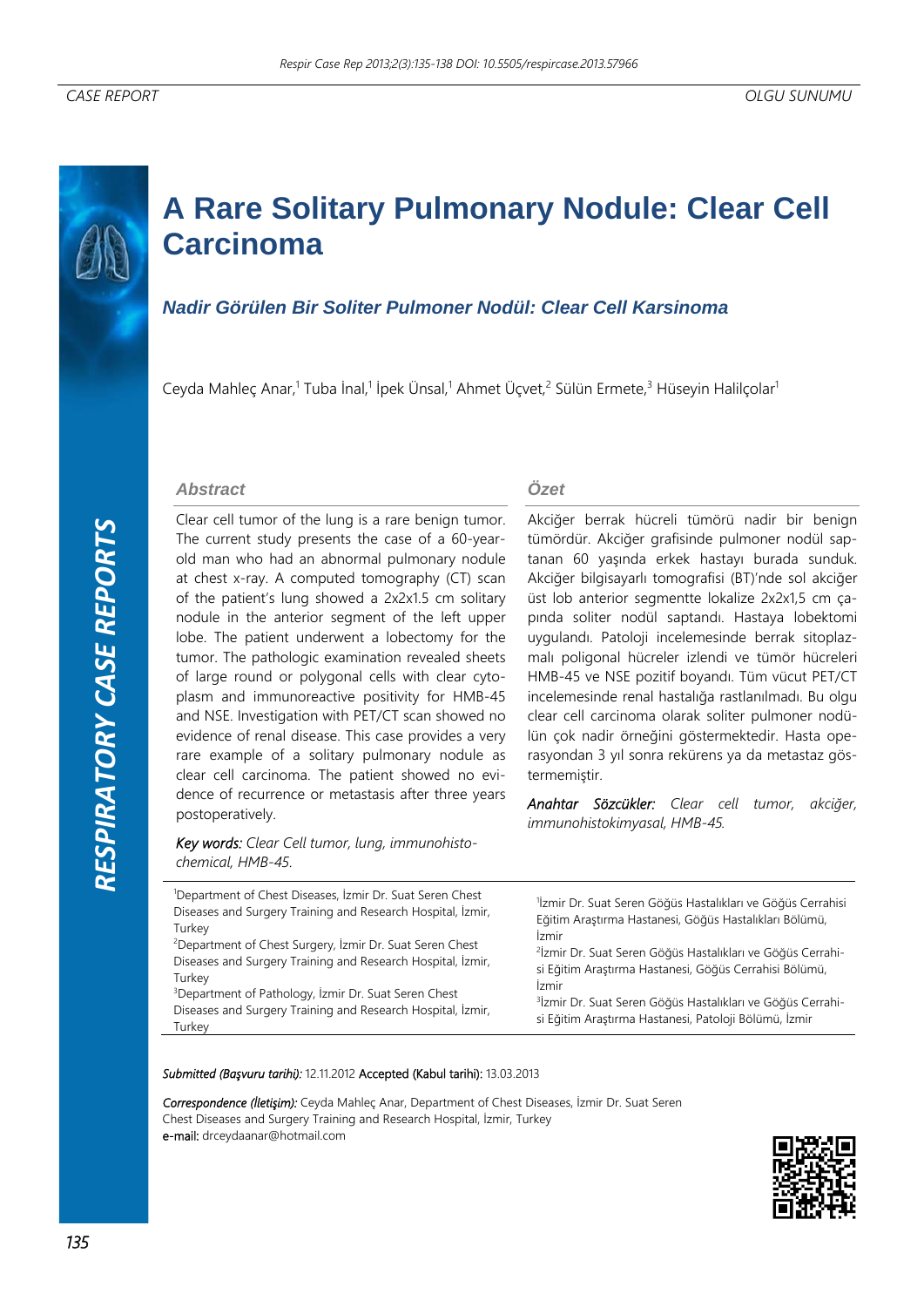# **A Rare Solitary Pulmonary Nodule: Clear Cell Carcinoma**

# *Nadir Görülen Bir Soliter Pulmoner Nodül: Clear Cell Karsinoma*

Ceyda Mahleç Anar,<sup>1</sup> Tuba İnal,<sup>1</sup> İpek Ünsal,<sup>1</sup> Ahmet Üçvet,<sup>2</sup> Sülün Ermete,<sup>3</sup> Hüseyin Halilçolar<sup>ı</sup>

#### *Abstract*

Clear cell tumor of the lung is a rare benign tumor. The current study presents the case of a 60-yearold man who had an abnormal pulmonary nodule at chest x-ray. A computed tomography (CT) scan of the patient's lung showed a 2x2x1.5 cm solitary nodule in the anterior segment of the left upper lobe. The patient underwent a lobectomy for the tumor. The pathologic examination revealed sheets of large round or polygonal cells with clear cytoplasm and immunoreactive positivity for HMB-45 and NSE. Investigation with PET/CT scan showed no evidence of renal disease. This case provides a very rare example of a solitary pulmonary nodule as clear cell carcinoma. The patient showed no evidence of recurrence or metastasis after three years postoperatively.

*Key words: Clear Cell tumor, lung, immunohistochemical, HMB-45*.

### *Özet*

Akciğer berrak hücreli tümörü nadir bir benign tümördür. Akciğer grafisinde pulmoner nodül saptanan 60 yaşında erkek hastayı burada sunduk. Akciğer bilgisayarlı tomografisi (BT)'nde sol akciğer üst lob anterior segmentte lokalize 2x2x1,5 cm çapında soliter nodül saptandı. Hastaya lobektomi uygulandı. Patoloji incelemesinde berrak sitoplazmalı poligonal hücreler izlendi ve tümör hücreleri HMB-45 ve NSE pozitif boyandı. Tüm vücut PET/CT incelemesinde renal hastalığa rastlanılmadı. Bu olgu clear cell carcinoma olarak soliter pulmoner nodülün çok nadir örneğini göstermektedir. Hasta operasyondan 3 yıl sonra rekürens ya da metastaz göstermemiştir.

*Anahtar Sözcükler: Clear cell tumor, akciğer, immunohistokimyasal, HMB-45.* 

| <sup>1</sup> Department of Chest Diseases, İzmir Dr. Suat Seren Chest<br>Diseases and Surgery Training and Research Hospital, İzmir,<br>Turkey<br><sup>2</sup> Department of Chest Surgery, İzmir Dr. Suat Seren Chest<br>Diseases and Surgery Training and Research Hospital, İzmir,<br>Turkey<br><sup>3</sup> Department of Pathology, İzmir Dr. Suat Seren Chest<br>Diseases and Surgery Training and Research Hospital, İzmir,<br>Turkey | <sup>1</sup> İzmir Dr. Suat Seren Göğüs Hastalıkları ve Göğüs Cerrahisi<br>Eğitim Araştırma Hastanesi, Göğüs Hastalıkları Bölümü,<br>İzmir<br><sup>2</sup> İzmir Dr. Suat Seren Göğüs Hastalıkları ve Göğüs Cerrahi-<br>si Eğitim Araştırma Hastanesi, Göğüs Cerrahisi Bölümü,<br>İzmir<br><sup>3</sup> İzmir Dr. Suat Seren Göğüs Hastalıkları ve Göğüs Cerrahi-<br>si Eğitim Araştırma Hastanesi, Patoloji Bölümü, İzmir |
|----------------------------------------------------------------------------------------------------------------------------------------------------------------------------------------------------------------------------------------------------------------------------------------------------------------------------------------------------------------------------------------------------------------------------------------------|----------------------------------------------------------------------------------------------------------------------------------------------------------------------------------------------------------------------------------------------------------------------------------------------------------------------------------------------------------------------------------------------------------------------------|

*Submitted (Başvuru tarihi):* 12.11.2012 Accepted (Kabul tarihi): 13.03.2013

*Correspondence (İletişim):* Ceyda Mahleç Anar, Department of Chest Diseases, İzmir Dr. Suat Seren Chest Diseases and Surgery Training and Research Hospital, İzmir, Turkey e-mail: drceydaanar@hotmail.com

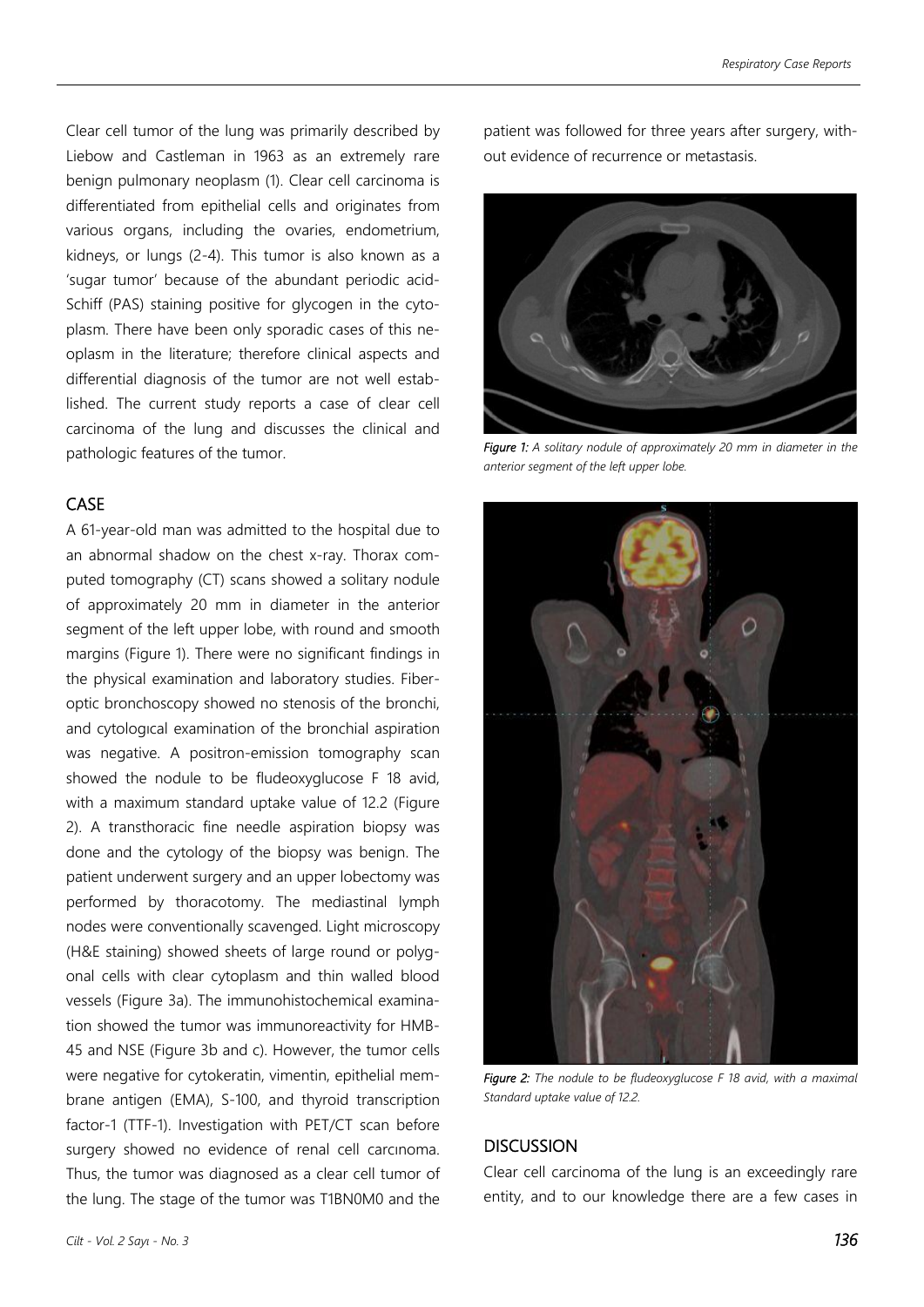Clear cell tumor of the lung was primarily described by Liebow and Castleman in 1963 as an extremely rare benign pulmonary neoplasm (1). Clear cell carcinoma is differentiated from epithelial cells and originates from various organs, including the ovaries, endometrium, kidneys, or lungs (2-4). This tumor is also known as a 'sugar tumor' because of the abundant periodic acid-Schiff (PAS) staining positive for glycogen in the cytoplasm. There have been only sporadic cases of this neoplasm in the literature; therefore clinical aspects and differential diagnosis of the tumor are not well established. The current study reports a case of clear cell carcinoma of the lung and discusses the clinical and pathologic features of the tumor.

## **CASE**

A 61-year-old man was admitted to the hospital due to an abnormal shadow on the chest x-ray. Thorax computed tomography (CT) scans showed a solitary nodule of approximately 20 mm in diameter in the anterior segment of the left upper lobe, with round and smooth margins (Figure 1). There were no significant findings in the physical examination and laboratory studies. Fiberoptic bronchoscopy showed no stenosis of the bronchi, and cytologıcal examination of the bronchial aspiration was negative. A positron-emission tomography scan showed the nodule to be fludeoxyglucose F 18 avid, with a maximum standard uptake value of 12.2 (Figure 2). A transthoracic fine needle aspiration biopsy was done and the cytology of the biopsy was benign. The patient underwent surgery and an upper lobectomy was performed by thoracotomy. The mediastinal lymph nodes were conventionally scavenged. Light microscopy (H&E staining) showed sheets of large round or polygonal cells with clear cytoplasm and thin walled blood vessels (Figure 3a). The immunohistochemical examination showed the tumor was immunoreactivity for HMB-45 and NSE (Figure 3b and c). However, the tumor cells were negative for cytokeratin, vimentin, epithelial membrane antigen (EMA), S-100, and thyroid transcription factor-1 (TTF-1). Investigation with PET/CT scan before surgery showed no evidence of renal cell carcınoma. Thus, the tumor was diagnosed as a clear cell tumor of the lung. The stage of the tumor was T1BN0M0 and the patient was followed for three years after surgery, without evidence of recurrence or metastasis.



*Figure 1: A solitary nodule of approximately 20 mm in diameter in the anterior segment of the left upper lobe.* 



*Figure 2: The nodule to be fludeoxyglucose F 18 avid, with a maximal Standard uptake value of 12.2.* 

## **DISCUSSION**

Clear cell carcinoma of the lung is an exceedingly rare entity, and to our knowledge there are a few cases in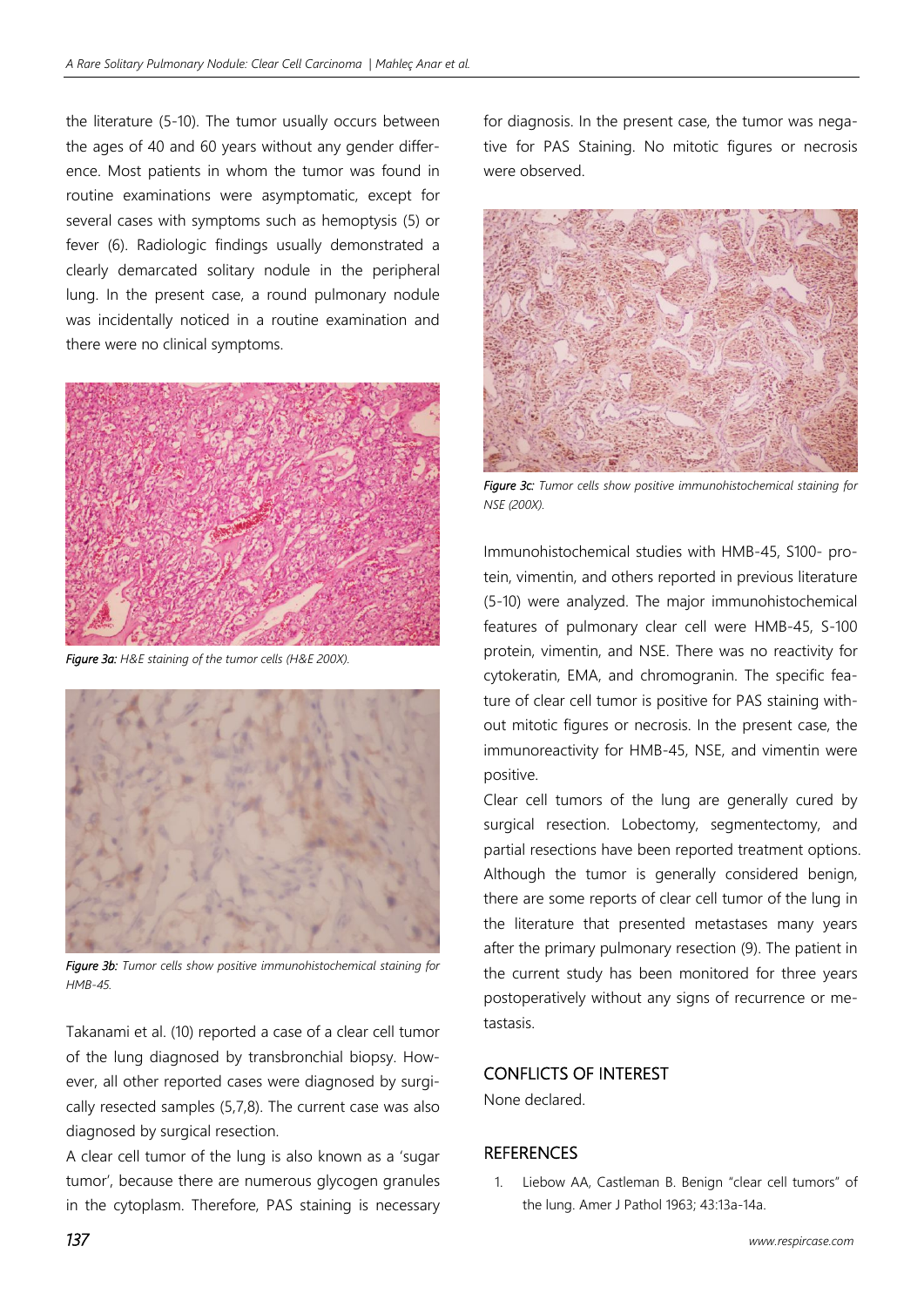the literature (5-10). The tumor usually occurs between the ages of 40 and 60 years without any gender difference. Most patients in whom the tumor was found in routine examinations were asymptomatic, except for several cases with symptoms such as hemoptysis (5) or fever (6). Radiologic findings usually demonstrated a clearly demarcated solitary nodule in the peripheral lung. In the present case, a round pulmonary nodule was incidentally noticed in a routine examination and there were no clinical symptoms.



*Figure 3a: H&E staining of the tumor cells (H&E 200X).* 



*Figure 3b: Tumor cells show positive immunohistochemical staining for HMB-45.* 

Takanami et al. (10) reported a case of a clear cell tumor of the lung diagnosed by transbronchial biopsy. However, all other reported cases were diagnosed by surgically resected samples (5,7,8). The current case was also diagnosed by surgical resection.

A clear cell tumor of the lung is also known as a 'sugar tumor', because there are numerous glycogen granules in the cytoplasm. Therefore, PAS staining is necessary for diagnosis. In the present case, the tumor was negative for PAS Staining. No mitotic figures or necrosis were observed.



*Figure 3c: Tumor cells show positive immunohistochemical staining for NSE (200X).* 

Immunohistochemical studies with HMB-45, S100- protein, vimentin, and others reported in previous literature (5-10) were analyzed. The major immunohistochemical features of pulmonary clear cell were HMB-45, S-100 protein, vimentin, and NSE. There was no reactivity for cytokeratin, EMA, and chromogranin. The specific feature of clear cell tumor is positive for PAS staining without mitotic figures or necrosis. In the present case, the immunoreactivity for HMB-45, NSE, and vimentin were positive.

Clear cell tumors of the lung are generally cured by surgical resection. Lobectomy, segmentectomy, and partial resections have been reported treatment options. Although the tumor is generally considered benign, there are some reports of clear cell tumor of the lung in the literature that presented metastases many years after the primary pulmonary resection (9). The patient in the current study has been monitored for three years postoperatively without any signs of recurrence or metastasis.

## CONFLICTS OF INTEREST

None declared.

#### **REFERENCES**

1. Liebow AA, Castleman B. Benign "clear cell tumors" of the lung. Amer J Pathol 1963; 43:13a-14a.